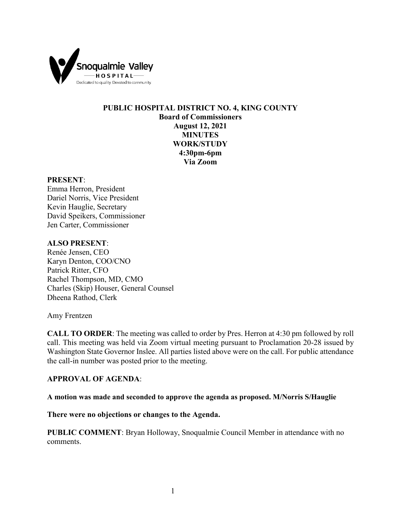

## **PUBLIC HOSPITAL DISTRICT NO. 4, KING COUNTY Board of Commissioners August 12, 2021 MINUTES WORK/STUDY 4:30pm-6pm Via Zoom**

#### **PRESENT**:

Emma Herron, President Dariel Norris, Vice President Kevin Hauglie, Secretary David Speikers, Commissioner Jen Carter, Commissioner

### **ALSO PRESENT**:

Renée Jensen, CEO Karyn Denton, COO/CNO Patrick Ritter, CFO Rachel Thompson, MD, CMO Charles (Skip) Houser, General Counsel Dheena Rathod, Clerk

Amy Frentzen

**CALL TO ORDER**: The meeting was called to order by Pres. Herron at 4:30 pm followed by roll call. This meeting was held via Zoom virtual meeting pursuant to Proclamation 20-28 issued by Washington State Governor Inslee. All parties listed above were on the call. For public attendance the call-in number was posted prior to the meeting.

### **APPROVAL OF AGENDA**:

**A motion was made and seconded to approve the agenda as proposed. M/Norris S/Hauglie**

**There were no objections or changes to the Agenda.**

**PUBLIC COMMENT**: Bryan Holloway, Snoqualmie Council Member in attendance with no comments.